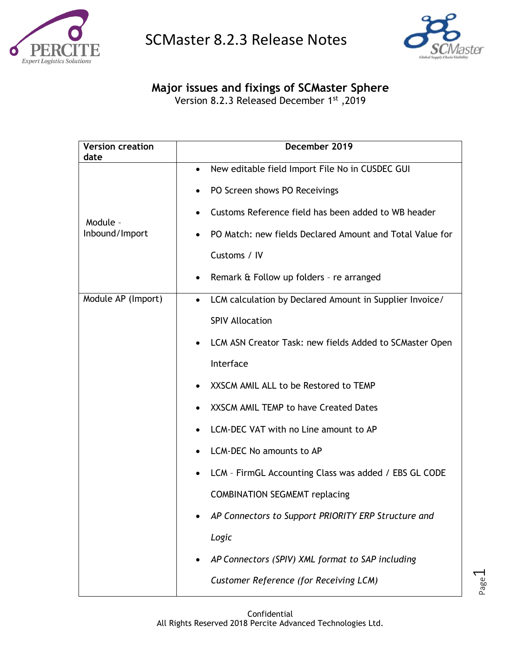



Page  $\overline{\phantom{0}}$ 

**Major issues and fixings of SCMaster Sphere**

Version 8.2.3 Released December 1st ,2019

| <b>Version creation</b><br>date | December 2019                                                        |
|---------------------------------|----------------------------------------------------------------------|
|                                 | New editable field Import File No in CUSDEC GUI<br>$\bullet$         |
|                                 | PO Screen shows PO Receivings                                        |
| Module -                        | Customs Reference field has been added to WB header<br>$\bullet$     |
| Inbound/Import                  | PO Match: new fields Declared Amount and Total Value for             |
|                                 | Customs / IV                                                         |
|                                 | Remark & Follow up folders - re arranged<br>٠                        |
| Module AP (Import)              | LCM calculation by Declared Amount in Supplier Invoice/<br>$\bullet$ |
|                                 | <b>SPIV Allocation</b>                                               |
|                                 | LCM ASN Creator Task: new fields Added to SCMaster Open<br>$\bullet$ |
|                                 | Interface                                                            |
|                                 | XXSCM AMIL ALL to be Restored to TEMP                                |
|                                 | XXSCM AMIL TEMP to have Created Dates                                |
|                                 | LCM-DEC VAT with no Line amount to AP                                |
|                                 | LCM-DEC No amounts to AP                                             |
|                                 | LCM - FirmGL Accounting Class was added / EBS GL CODE                |
|                                 | <b>COMBINATION SEGMEMT replacing</b>                                 |
|                                 | AP Connectors to Support PRIORITY ERP Structure and                  |
|                                 | Logic                                                                |
|                                 | AP Connectors (SPIV) XML format to SAP including                     |
|                                 | <b>Customer Reference (for Receiving LCM)</b>                        |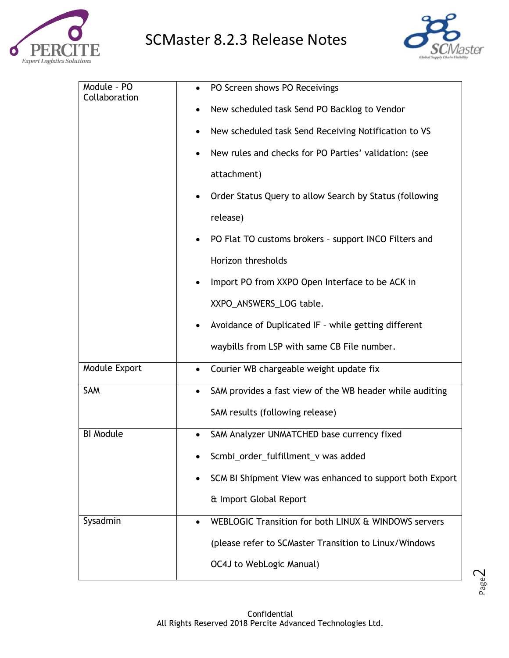



Page  $\mathrel{\sim}$ 

| Module - PO      | PO Screen shows PO Receivings                                         |
|------------------|-----------------------------------------------------------------------|
| Collaboration    | New scheduled task Send PO Backlog to Vendor                          |
|                  | New scheduled task Send Receiving Notification to VS<br>٠             |
|                  | New rules and checks for PO Parties' validation: (see                 |
|                  | attachment)                                                           |
|                  | Order Status Query to allow Search by Status (following               |
|                  | release)                                                              |
|                  | PO Flat TO customs brokers - support INCO Filters and                 |
|                  | Horizon thresholds                                                    |
|                  | Import PO from XXPO Open Interface to be ACK in                       |
|                  | XXPO_ANSWERS_LOG table.                                               |
|                  | Avoidance of Duplicated IF - while getting different                  |
|                  | waybills from LSP with same CB File number.                           |
| Module Export    | Courier WB chargeable weight update fix<br>$\bullet$                  |
| SAM              | SAM provides a fast view of the WB header while auditing<br>$\bullet$ |
|                  | SAM results (following release)                                       |
| <b>BI Module</b> | SAM Analyzer UNMATCHED base currency fixed                            |
|                  | Scmbi_order_fulfillment_v was added                                   |
|                  | SCM BI Shipment View was enhanced to support both Export              |
|                  | & Import Global Report                                                |
| Sysadmin         | WEBLOGIC Transition for both LINUX & WINDOWS servers                  |
|                  | (please refer to SCMaster Transition to Linux/Windows                 |
|                  | OC4J to WebLogic Manual)                                              |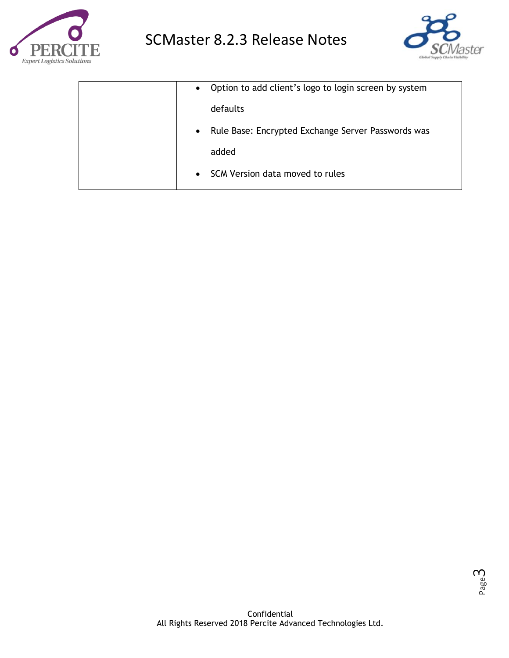



| $\bullet$ | Option to add client's logo to login screen by system |
|-----------|-------------------------------------------------------|
|           | defaults                                              |
| $\bullet$ | Rule Base: Encrypted Exchange Server Passwords was    |
|           | added                                                 |
| $\bullet$ | SCM Version data moved to rules                       |
|           |                                                       |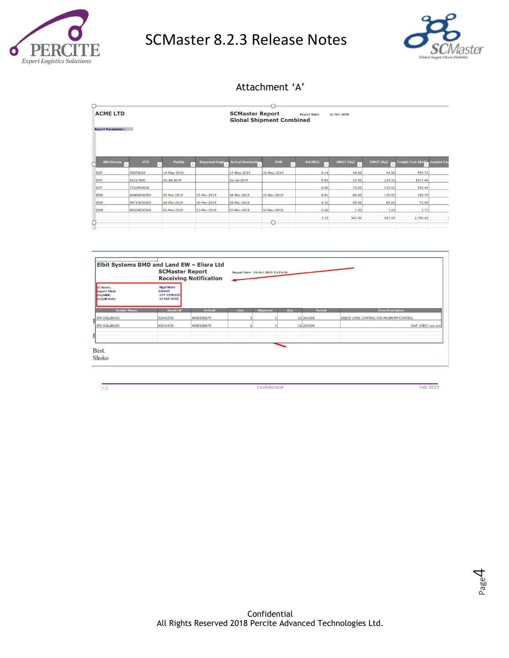



## Attachment 'A'

| <b>ACME LTD</b>           |                       |                    |                                                    | <b>SCMaster Report</b><br><b>Global Shipment Combined</b> |             | <b>Report Date:</b>       | 16-Oct-2019    |           |                     |                   |
|---------------------------|-----------------------|--------------------|----------------------------------------------------|-----------------------------------------------------------|-------------|---------------------------|----------------|-----------|---------------------|-------------------|
| <b>Report Parameters:</b> |                       |                    |                                                    |                                                           |             |                           |                |           |                     |                   |
|                           |                       |                    |                                                    |                                                           |             |                           |                |           |                     |                   |
|                           |                       |                    |                                                    |                                                           |             |                           |                |           |                     |                   |
|                           |                       |                    |                                                    |                                                           |             |                           |                |           |                     |                   |
| <b>INCOterms</b>          | <b>HTS</b><br>$\cdot$ | <b>PickUp</b><br>Ψ | <b>Departed Origin</b><br>$\overline{\phantom{a}}$ | <b>Arrival Destination</b>                                | <b>POD</b>  | <b>Vol (M3)</b><br>↴<br>٠ | AWGT (Kg)<br>٠ | CWGT (Kg) | Freight Cost (\$US) | <b>Landed Cos</b> |
| <b>DDP</b>                | 39070019              | 14-May-2019        |                                                    | 17-May-2019                                               | 20-May-2019 | 0.14                      | 44.00          | 44.00     | 595.73              |                   |
| <b>DDP</b>                | 85217800              | 02-Jul-2019        |                                                    | 02-Jul-2019                                               |             | 0.81                      | 52.00          | 134.50    | 1477.49             |                   |
| <b>DDP</b>                | 7332990000            |                    |                                                    |                                                           |             | 0.85                      | 70.00          | 142.00    | 456.44              |                   |
| EXW                       | 84869000004           | 03-Mar-2019        | 03-Mar-2019                                        | 08-Mar-2019                                               | 10-Mar-2019 | 0.81                      | 89.00          | 135.00    | 190.79              |                   |
| EXW                       | 84715000000           | 04-Mar-2019        | 10-Mar-2019                                        | 08-Mar-2019                                               |             | 0.53                      | 89.00          | 89.00     | 72.98               |                   |
| EXW                       | 90029000008           | 01-Mar-2019        | 03-Mar-2019                                        | 05-Mar-2019                                               | 10-Mar-2019 | 0.02                      | 1.00           | 3.00      | 2.73                |                   |
|                           |                       |                    |                                                    |                                                           |             | 3.15                      | 345.00         | 547.50    | 2,796.16            | 5                 |
|                           |                       |                    |                                                    |                                                           |             |                           |                |           |                     |                   |

| <b>SCMaster Report</b><br><b>Receiving Notification</b>                          |                                                             |            | Report Date: 29-Oct-2019 15:19:36 |                 |     |           |                                          |                         |
|----------------------------------------------------------------------------------|-------------------------------------------------------------|------------|-----------------------------------|-----------------|-----|-----------|------------------------------------------|-------------------------|
| <b>/S Name:</b><br>Import File#:<br>$\mathsf{Waybill#:}$<br><b>Naybill Date:</b> | <b>Sigal Stern</b><br>126604<br>114-15263323<br>12-Oct-2018 |            |                                   |                 |     |           |                                          |                         |
| <b>Vendor Name</b>                                                               | Invoice#                                                    | Order#     | <b>Line</b>                       | <b>Shipment</b> | Qty | Item#     |                                          | <b>Item Description</b> |
| <b>SPX DOLLINGER</b>                                                             | 82641939                                                    | 4000158879 |                                   |                 |     | 25 241018 | LIQUID LEVEL CONTROL FOR MUDPUMP CONTROL |                         |
| <b>SPX DOLLINGER</b>                                                             | 82641939                                                    | 4000158879 |                                   |                 |     | 32 234104 |                                          | (AUF 3583) חיישן למגבר  |
| Best.                                                                            |                                                             |            |                                   |                 |     |           |                                          |                         |

 $[12]$ 

Confidential

Feb 2019